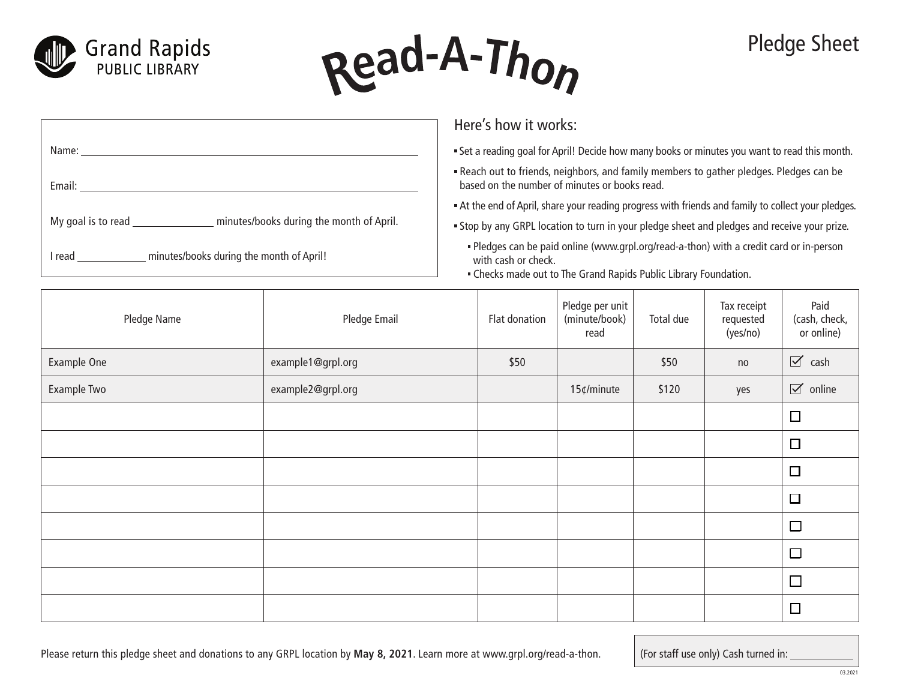



## Pledge Sheet

|                                                                | Here's how it works:                                                                                                                                                               |
|----------------------------------------------------------------|------------------------------------------------------------------------------------------------------------------------------------------------------------------------------------|
| Name:                                                          | . Set a reading goal for April! Decide how many books or minutes you want to read this month.                                                                                      |
| Email:                                                         | . Reach out to friends, neighbors, and family members to gather pledges. Pledges can be<br>based on the number of minutes or books read.                                           |
|                                                                | At the end of April, share your reading progress with friends and family to collect your pledges.                                                                                  |
| minutes/books during the month of April.<br>My goal is to read | . Stop by any GRPL location to turn in your pledge sheet and pledges and receive your prize.                                                                                       |
| minutes/books during the month of April!<br>l read             | - Pledges can be paid online (www.grpl.org/read-a-thon) with a credit card or in-person<br>with cash or check.<br>. Checks made out to The Grand Rapids Public Library Foundation. |

| Pledge Name | Pledge Email      | Flat donation | Pledge per unit<br>(minute/book)<br>read | Total due | Tax receipt<br>requested<br>(yes/no) | Paid<br>(cash, check,<br>or online) |
|-------------|-------------------|---------------|------------------------------------------|-----------|--------------------------------------|-------------------------------------|
| Example One | example1@grpl.org | \$50          |                                          | \$50      | no                                   | $\triangledown$ cash                |
| Example Two | example2@grpl.org |               | 15¢/minute                               | \$120     | yes                                  | $\boxtimes$ online                  |
|             |                   |               |                                          |           |                                      | $\Box$                              |
|             |                   |               |                                          |           |                                      | $\Box$                              |
|             |                   |               |                                          |           |                                      | $\Box$                              |
|             |                   |               |                                          |           |                                      | $\Box$                              |
|             |                   |               |                                          |           |                                      | $\Box$                              |
|             |                   |               |                                          |           |                                      | $\Box$                              |
|             |                   |               |                                          |           |                                      | $\Box$                              |
|             |                   |               |                                          |           |                                      | $\Box$                              |

(For staff use only) Cash turned in: